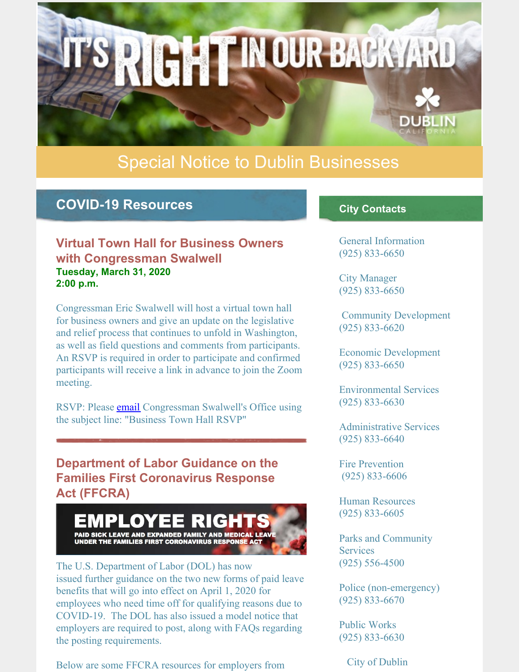

# Special Notice to Dublin Businesses

## **COVID-19 Resources**

#### **Virtual Town Hall for Business Owners with Congressman Swalwell Tuesday, March 31, 2020 2:00 p.m.**

Congressman Eric Swalwell will host a virtual town hall for business owners and give an update on the legislative and relief process that continues to unfold in Washington, as well as field questions and comments from participants. An RSVP is required in order to participate and confirmed participants will receive a link in advance to join the Zoom meeting.

RSVP: Please [email](mailto:CA15DistrictSchedule@mail.house.gov) Congressman Swalwell's Office using the subject line: "Business Town Hall RSVP"

**Department of Labor Guidance on the Families First Coronavirus Response Act (FFCRA)**



The U.S. Department of Labor (DOL) has now issued further guidance on the two new forms of paid leave benefits that will go into effect on April 1, 2020 for employees who need time off for qualifying reasons due to COVID-19. The DOL has also issued a model notice that employers are required to post, along with FAQs regarding the posting requirements.

Below are some FFCRA resources for employers from

#### **City Contacts**

General Information (925) 833-6650

City Manager (925) 833-6650

Community Development (925) 833-6620

Economic Development (925) 833-6650

Environmental Services (925) 833-6630

Administrative Services (925) 833-6640

Fire Prevention (925) 833-6606

Human Resources (925) 833-6605

Parks and Community **Services** (925) 556-4500

Police (non-emergency) (925) 833-6670

Public Works (925) 833-6630

City of Dublin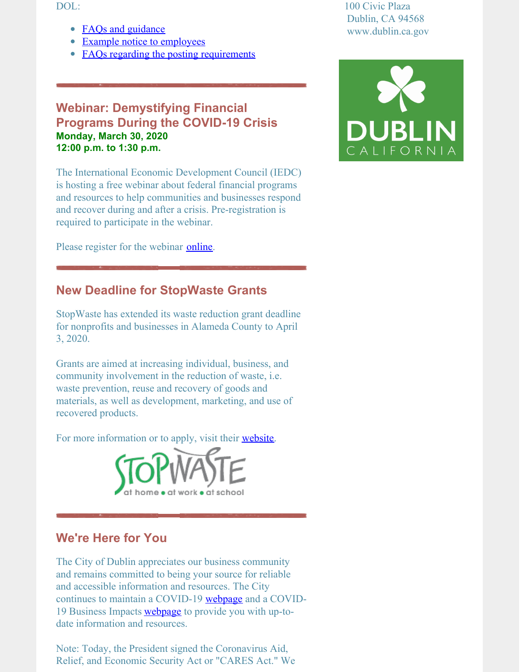DOL:

- FAQs and [guidance](https://www.dol.gov/agencies/whd/pandemic/ffcra-questions)
- Example notice to [employees](https://www.dol.gov/sites/dolgov/files/WHD/posters/FFCRA_Poster_WH1422_Non-Federal.pdf)
- FAQs regarding the posting [requirements](https://www.dol.gov/agencies/whd/pandemic/ffcra-poster-questions)

#### **Webinar: Demystifying Financial Programs During the COVID-19 Crisis Monday, March 30, 2020 12:00 p.m. to 1:30 p.m.**

The International Economic Development Council (IEDC) is hosting a free webinar about federal financial programs and resources to help communities and businesses respond and recover during and after a crisis. Pre-registration is required to participate in the webinar.

Please register for the webinar **[online](https://dublin.ca.gov/Calendar.aspx?EID=5224&month=3&year=2020&day=27&calType=0)**.

### **New Deadline for StopWaste Grants**

StopWaste has extended its waste reduction grant deadline for nonprofits and businesses in Alameda County to April 3, 2020.

Grants are aimed at increasing individual, business, and community involvement in the reduction of waste, i.e. waste prevention, reuse and recovery of goods and materials, as well as development, marketing, and use of recovered products.

For more information or to apply, visit their [website](http://www.stopwaste.org/at-work/stopwaste-grants).



### **We're Here for You**

The City of Dublin appreciates our business community and remains committed to being your source for reliable and accessible information and resources. The City continues to maintain a COVID-19 [webpage](https://www.dublin.ca.gov/coronavirus) and a COVID-19 Business Impacts [webpage](https://dublin.ca.gov/2177/COVID-19-Business-Impacts) to provide you with up-todate information and resources.

Note: Today, the President signed the Coronavirus Aid, Relief, and Economic Security Act or "CARES Act." We 100 Civic Plaza Dublin, CA 94568 www.dublin.ca.gov